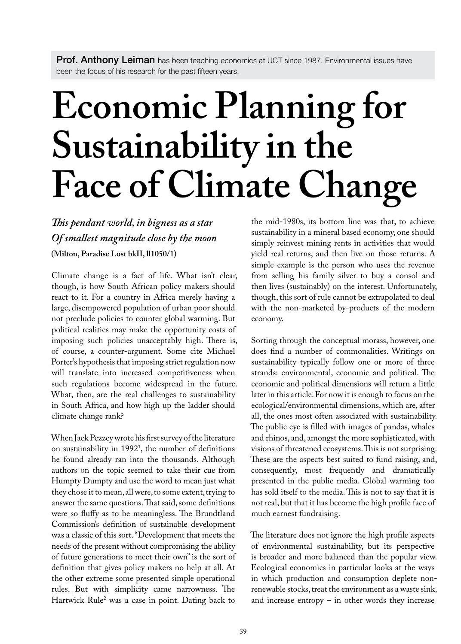Prof. Anthony Leiman has been teaching economics at UCT since 1987. Environmental issues have been the focus of his research for the past fifteen years.

## **Economic Planning for Sustainability in the Face of Climate Change**

## *This pendant world, in bigness as a star Of smallest magnitude close by the moon* **(Milton, Paradise Lost bkII, ll1050/1)**

Climate change is a fact of life. What isn't clear, though, is how South African policy makers should react to it. For a country in Africa merely having a large, disempowered population of urban poor should not preclude policies to counter global warming. But political realities may make the opportunity costs of imposing such policies unacceptably high. There is, of course, a counter-argument. Some cite Michael Porter's hypothesis that imposing strict regulation now will translate into increased competitiveness when such regulations become widespread in the future. What, then, are the real challenges to sustainability in South Africa, and how high up the ladder should climate change rank?

When Jack Pezzey wrote his first survey of the literature on sustainability in 19921 , the number of definitions he found already ran into the thousands. Although authors on the topic seemed to take their cue from Humpty Dumpty and use the word to mean just what they chose it to mean, all were, to some extent, trying to answer the same questions. That said, some definitions were so fluffy as to be meaningless. The Brundtland Commission's definition of sustainable development was a classic of this sort. "Development that meets the needs of the present without compromising the ability of future generations to meet their own" is the sort of definition that gives policy makers no help at all. At the other extreme some presented simple operational rules. But with simplicity came narrowness. The Hartwick Rule2 was a case in point. Dating back to

the mid-1980s, its bottom line was that, to achieve sustainability in a mineral based economy, one should simply reinvest mining rents in activities that would yield real returns, and then live on those returns. A simple example is the person who uses the revenue from selling his family silver to buy a consol and then lives (sustainably) on the interest. Unfortunately, though, this sort of rule cannot be extrapolated to deal with the non-marketed by-products of the modern economy.

Sorting through the conceptual morass, however, one does find a number of commonalities. Writings on sustainability typically follow one or more of three strands: environmental, economic and political. The economic and political dimensions will return a little later in this article. For now it is enough to focus on the ecological/environmental dimensions, which are, after all, the ones most often associated with sustainability. The public eye is filled with images of pandas, whales and rhinos, and, amongst the more sophisticated, with visions of threatened ecosystems. This is not surprising. These are the aspects best suited to fund raising, and, consequently, most frequently and dramatically presented in the public media. Global warming too has sold itself to the media. This is not to say that it is not real, but that it has become the high profile face of much earnest fundraising.

The literature does not ignore the high profile aspects of environmental sustainability, but its perspective is broader and more balanced than the popular view. Ecological economics in particular looks at the ways in which production and consumption deplete nonrenewable stocks, treat the environment as a waste sink, and increase entropy – in other words they increase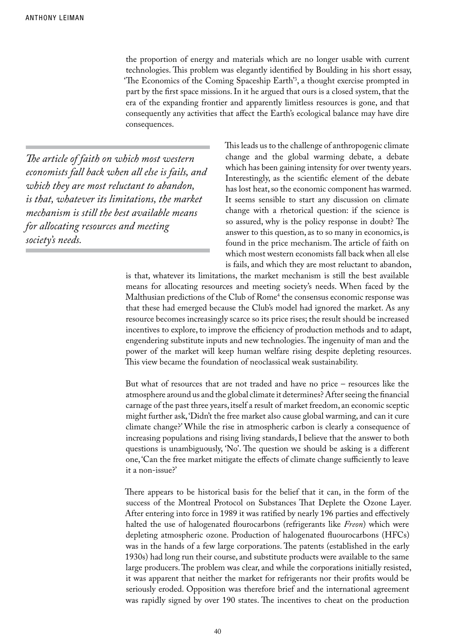the proportion of energy and materials which are no longer usable with current technologies. This problem was elegantly identified by Boulding in his short essay, 'The Economics of the Coming Spaceship Earth'3 , a thought exercise prompted in part by the first space missions. In it he argued that ours is a closed system, that the era of the expanding frontier and apparently limitless resources is gone, and that consequently any activities that affect the Earth's ecological balance may have dire consequences.

*The article of faith on which most western economists fall back when all else is fails, and which they are most reluctant to abandon, is that, whatever its limitations, the market mechanism is still the best available means for allocating resources and meeting society's needs.*

This leads us to the challenge of anthropogenic climate change and the global warming debate, a debate which has been gaining intensity for over twenty years. Interestingly, as the scientific element of the debate has lost heat, so the economic component has warmed. It seems sensible to start any discussion on climate change with a rhetorical question: if the science is so assured, why is the policy response in doubt? The answer to this question, as to so many in economics, is found in the price mechanism. The article of faith on which most western economists fall back when all else is fails, and which they are most reluctant to abandon,

is that, whatever its limitations, the market mechanism is still the best available means for allocating resources and meeting society's needs. When faced by the Malthusian predictions of the Club of Rome<sup>4</sup> the consensus economic response was that these had emerged because the Club's model had ignored the market. As any resource becomes increasingly scarce so its price rises; the result should be increased incentives to explore, to improve the efficiency of production methods and to adapt, engendering substitute inputs and new technologies. The ingenuity of man and the power of the market will keep human welfare rising despite depleting resources. This view became the foundation of neoclassical weak sustainability.

But what of resources that are not traded and have no price – resources like the atmosphere around us and the global climate it determines? After seeing the financial carnage of the past three years, itself a result of market freedom, an economic sceptic might further ask, 'Didn't the free market also cause global warming, and can it cure climate change?' While the rise in atmospheric carbon is clearly a consequence of increasing populations and rising living standards, I believe that the answer to both questions is unambiguously, 'No'. The question we should be asking is a different one, 'Can the free market mitigate the effects of climate change sufficiently to leave it a non-issue?'

There appears to be historical basis for the belief that it can, in the form of the success of the Montreal Protocol on Substances That Deplete the Ozone Layer. After entering into force in 1989 it was ratified by nearly 196 parties and effectively halted the use of halogenated flourocarbons (refrigerants like *Freon*) which were depleting atmospheric ozone. Production of halogenated fluourocarbons (HFCs) was in the hands of a few large corporations. The patents (established in the early 1930s) had long run their course, and substitute products were available to the same large producers. The problem was clear, and while the corporations initially resisted, it was apparent that neither the market for refrigerants nor their profits would be seriously eroded. Opposition was therefore brief and the international agreement was rapidly signed by over 190 states. The incentives to cheat on the production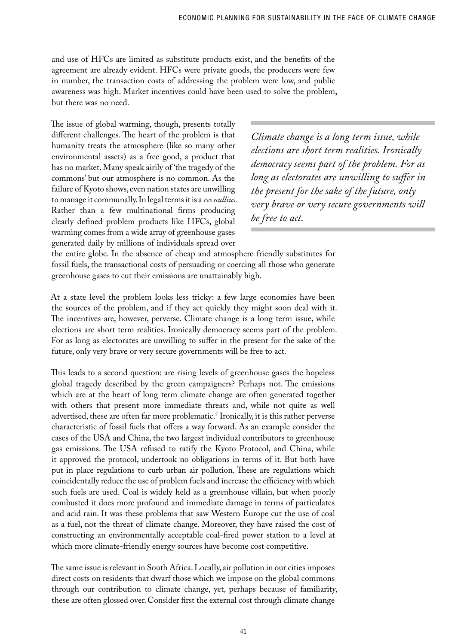and use of HFCs are limited as substitute products exist, and the benefits of the agreement are already evident. HFCs were private goods, the producers were few in number, the transaction costs of addressing the problem were low, and public awareness was high. Market incentives could have been used to solve the problem, but there was no need.

The issue of global warming, though, presents totally different challenges. The heart of the problem is that humanity treats the atmosphere (like so many other environmental assets) as a free good, a product that has no market. Many speak airily of 'the tragedy of the commons' but our atmosphere is no common. As the failure of Kyoto shows, even nation states are unwilling to manage it communally. In legal terms it is a *res nullius*. Rather than a few multinational firms producing clearly defined problem products like HFCs, global warming comes from a wide array of greenhouse gases generated daily by millions of individuals spread over

*Climate change is a long term issue, while elections are short term realities. Ironically democracy seems part of the problem. For as long as electorates are unwilling to suffer in the present for the sake of the future, only very brave or very secure governments will be free to act.*

the entire globe. In the absence of cheap and atmosphere friendly substitutes for fossil fuels, the transactional costs of persuading or coercing all those who generate greenhouse gases to cut their emissions are unattainably high.

At a state level the problem looks less tricky: a few large economies have been the sources of the problem, and if they act quickly they might soon deal with it. The incentives are, however, perverse. Climate change is a long term issue, while elections are short term realities. Ironically democracy seems part of the problem. For as long as electorates are unwilling to suffer in the present for the sake of the future, only very brave or very secure governments will be free to act.

This leads to a second question: are rising levels of greenhouse gases the hopeless global tragedy described by the green campaigners? Perhaps not. The emissions which are at the heart of long term climate change are often generated together with others that present more immediate threats and, while not quite as well advertised, these are often far more problematic.<sup>5</sup> Ironically, it is this rather perverse characteristic of fossil fuels that offers a way forward. As an example consider the cases of the USA and China, the two largest individual contributors to greenhouse gas emissions. The USA refused to ratify the Kyoto Protocol, and China, while it approved the protocol, undertook no obligations in terms of it. But both have put in place regulations to curb urban air pollution. These are regulations which coincidentally reduce the use of problem fuels and increase the efficiency with which such fuels are used. Coal is widely held as a greenhouse villain, but when poorly combusted it does more profound and immediate damage in terms of particulates and acid rain. It was these problems that saw Western Europe cut the use of coal as a fuel, not the threat of climate change. Moreover, they have raised the cost of constructing an environmentally acceptable coal-fired power station to a level at which more climate-friendly energy sources have become cost competitive.

The same issue is relevant in South Africa. Locally, air pollution in our cities imposes direct costs on residents that dwarf those which we impose on the global commons through our contribution to climate change, yet, perhaps because of familiarity, these are often glossed over. Consider first the external cost through climate change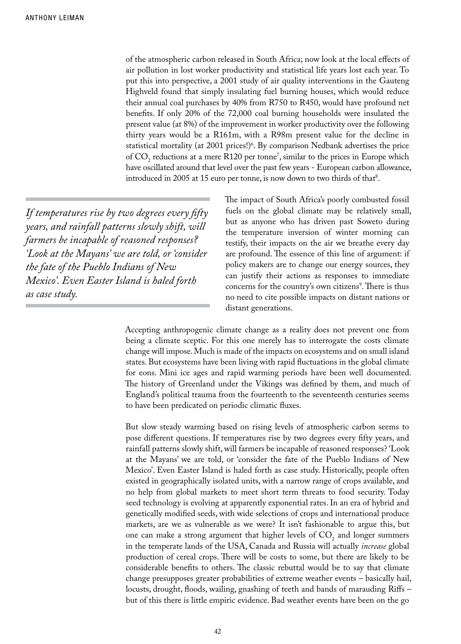of the atmospheric carbon released in South Africa; now look at the local effects of air pollution in lost worker productivity and statistical life years lost each year. To put this into perspective, a 2001 study of air quality interventions in the Gauteng Highveld found that simply insulating fuel burning houses, which would reduce their annual coal purchases by 40% from R750 to R450, would have profound net benefits. If only 20% of the 72,000 coal burning households were insulated the present value (at 8%) of the improvement in worker productivity over the following thirty years would be a R161m, with a R98m present value for the decline in statistical mortality (at 2001 prices!)6 . By comparison Nedbank advertises the price of  $CO<sub>2</sub>$  reductions at a mere R120 per tonne', similar to the prices in Europe which have oscillated around that level over the past few years - European carbon allowance, introduced in 2005 at 15 euro per tonne, is now down to two thirds of that<sup>8</sup>.

*If temperatures rise by two degrees every fifty years, and rainfall patterns slowly shift, will farmers be incapable of reasoned responses? 'Look at the Mayans' we are told, or 'consider the fate of the Pueblo Indians of New Mexico'. Even Easter Island is haled forth as case study.*

The impact of South Africa's poorly combusted fossil fuels on the global climate may be relatively small, but as anyone who has driven past Soweto during the temperature inversion of winter morning can testify, their impacts on the air we breathe every day are profound. The essence of this line of argument: if policy makers are to change our energy sources, they can justify their actions as responses to immediate concerns for the country's own citizens<sup>9</sup>. There is thus no need to cite possible impacts on distant nations or distant generations.

Accepting anthropogenic climate change as a reality does not prevent one from being a climate sceptic. For this one merely has to interrogate the costs climate change will impose. Much is made of the impacts on ecosystems and on small island states. But ecosystems have been living with rapid fluctuations in the global climate for eons. Mini ice ages and rapid warming periods have been well documented. The history of Greenland under the Vikings was defined by them, and much of England's political trauma from the fourteenth to the seventeenth centuries seems to have been predicated on periodic climatic fluxes.

But slow steady warming based on rising levels of atmospheric carbon seems to pose different questions. If temperatures rise by two degrees every fifty years, and rainfall patterns slowly shift, will farmers be incapable of reasoned responses? 'Look at the Mayans' we are told, or 'consider the fate of the Pueblo Indians of New Mexico'. Even Easter Island is haled forth as case study. Historically, people often existed in geographically isolated units, with a narrow range of crops available, and no help from global markets to meet short term threats to food security. Today seed technology is evolving at apparently exponential rates. In an era of hybrid and genetically modified seeds, with wide selections of crops and international produce markets, are we as vulnerable as we were? It isn't fashionable to argue this, but one can make a strong argument that higher levels of  $CO<sub>2</sub>$  and longer summers in the temperate lands of the USA, Canada and Russia will actually *increase* global production of cereal crops. There will be costs to some, but there are likely to be considerable benefits to others. The classic rebuttal would be to say that climate change presupposes greater probabilities of extreme weather events – basically hail, locusts, drought, floods, wailing, gnashing of teeth and bands of marauding Riffs – but of this there is little empiric evidence. Bad weather events have been on the go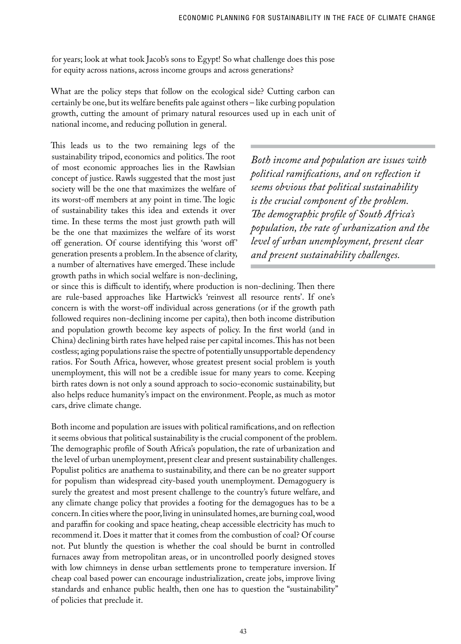for years; look at what took Jacob's sons to Egypt! So what challenge does this pose for equity across nations, across income groups and across generations?

What are the policy steps that follow on the ecological side? Cutting carbon can certainly be one, but its welfare benefits pale against others – like curbing population growth, cutting the amount of primary natural resources used up in each unit of national income, and reducing pollution in general.

This leads us to the two remaining legs of the sustainability tripod, economics and politics. The root of most economic approaches lies in the Rawlsian concept of justice. Rawls suggested that the most just society will be the one that maximizes the welfare of its worst-off members at any point in time. The logic of sustainability takes this idea and extends it over time. In these terms the most just growth path will be the one that maximizes the welfare of its worst off generation. Of course identifying this 'worst off' generation presents a problem. In the absence of clarity, a number of alternatives have emerged. These include growth paths in which social welfare is non-declining,

*Both income and population are issues with political ramifications, and on reflection it seems obvious that political sustainability is the crucial component of the problem. The demographic profile of South Africa's population, the rate of urbanization and the level of urban unemployment, present clear and present sustainability challenges.* 

or since this is difficult to identify, where production is non-declining. Then there are rule-based approaches like Hartwick's 'reinvest all resource rents'. If one's concern is with the worst-off individual across generations (or if the growth path followed requires non-declining income per capita), then both income distribution and population growth become key aspects of policy. In the first world (and in China) declining birth rates have helped raise per capital incomes. This has not been costless; aging populations raise the spectre of potentially unsupportable dependency ratios. For South Africa, however, whose greatest present social problem is youth unemployment, this will not be a credible issue for many years to come. Keeping birth rates down is not only a sound approach to socio-economic sustainability, but also helps reduce humanity's impact on the environment. People, as much as motor cars, drive climate change.

Both income and population are issues with political ramifications, and on reflection it seems obvious that political sustainability is the crucial component of the problem. The demographic profile of South Africa's population, the rate of urbanization and the level of urban unemployment, present clear and present sustainability challenges. Populist politics are anathema to sustainability, and there can be no greater support for populism than widespread city-based youth unemployment. Demagoguery is surely the greatest and most present challenge to the country's future welfare, and any climate change policy that provides a footing for the demagogues has to be a concern. In cities where the poor, living in uninsulated homes, are burning coal, wood and paraffin for cooking and space heating, cheap accessible electricity has much to recommend it. Does it matter that it comes from the combustion of coal? Of course not. Put bluntly the question is whether the coal should be burnt in controlled furnaces away from metropolitan areas, or in uncontrolled poorly designed stoves with low chimneys in dense urban settlements prone to temperature inversion. If cheap coal based power can encourage industrialization, create jobs, improve living standards and enhance public health, then one has to question the "sustainability" of policies that preclude it.